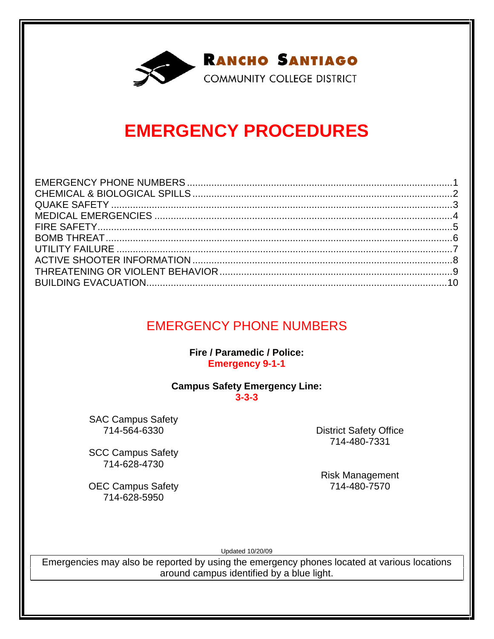

### **EMERGENCY PROCEDURES**

### EMERGENCY PHONE NUMBERS

**Fire / Paramedic / Police: Emergency 9-1-1** 

#### **Campus Safety Emergency Line: 3-3-3**

SAC Campus Safety 714-564-6330

SCC Campus Safety 714-628-4730

OEC Campus Safety 714-628-5950

District Safety Office 714-480-7331

Risk Management 714-480-7570

Updated 10/20/09

Emergencies may also be reported by using the emergency phones located at various locations around campus identified by a blue light.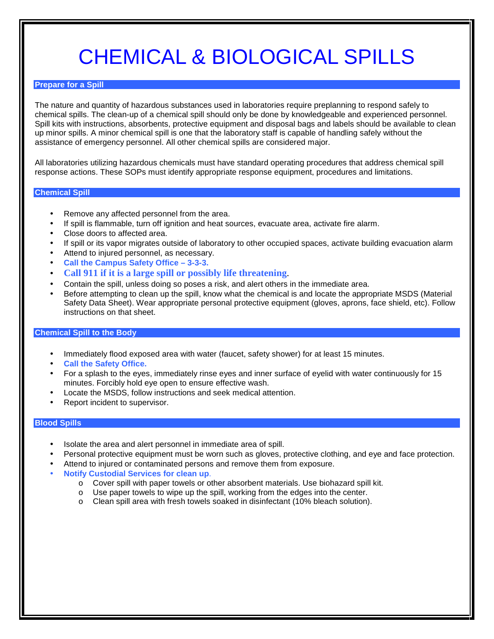# CHEMICAL & BIOLOGICAL SPILLS

#### **Prepare for a Spill**

The nature and quantity of hazardous substances used in laboratories require preplanning to respond safely to chemical spills. The clean-up of a chemical spill should only be done by knowledgeable and experienced personnel. Spill kits with instructions, absorbents, protective equipment and disposal bags and labels should be available to clean up minor spills. A minor chemical spill is one that the laboratory staff is capable of handling safely without the assistance of emergency personnel. All other chemical spills are considered major.

All laboratories utilizing hazardous chemicals must have standard operating procedures that address chemical spill response actions. These SOPs must identify appropriate response equipment, procedures and limitations.

#### **Chemical Spill**

- Remove any affected personnel from the area.
- If spill is flammable, turn off ignition and heat sources, evacuate area, activate fire alarm.
- Close doors to affected area.
- If spill or its vapor migrates outside of laboratory to other occupied spaces, activate building evacuation alarm
- Attend to injured personnel, as necessary.
- **Call the Campus Safety Office 3-3-3.**
- **Call 911 if it is a large spill or possibly life threatening**.
- Contain the spill, unless doing so poses a risk, and alert others in the immediate area.
- Before attempting to clean up the spill, know what the chemical is and locate the appropriate MSDS (Material Safety Data Sheet). Wear appropriate personal protective equipment (gloves, aprons, face shield, etc). Follow instructions on that sheet.

#### **Chemical Spill to the Body**

- Immediately flood exposed area with water (faucet, safety shower) for at least 15 minutes.
- **Call the Safety Office.**
- For a splash to the eyes, immediately rinse eyes and inner surface of eyelid with water continuously for 15 minutes. Forcibly hold eye open to ensure effective wash.
- Locate the MSDS, follow instructions and seek medical attention.
- Report incident to supervisor.

#### **Blood Spills**

- Isolate the area and alert personnel in immediate area of spill.
- Personal protective equipment must be worn such as gloves, protective clothing, and eye and face protection.
- Attend to injured or contaminated persons and remove them from exposure.
- **Notify Custodial Services for clean up**.
	- o Cover spill with paper towels or other absorbent materials. Use biohazard spill kit.
	- o Use paper towels to wipe up the spill, working from the edges into the center.
	- o Clean spill area with fresh towels soaked in disinfectant (10% bleach solution).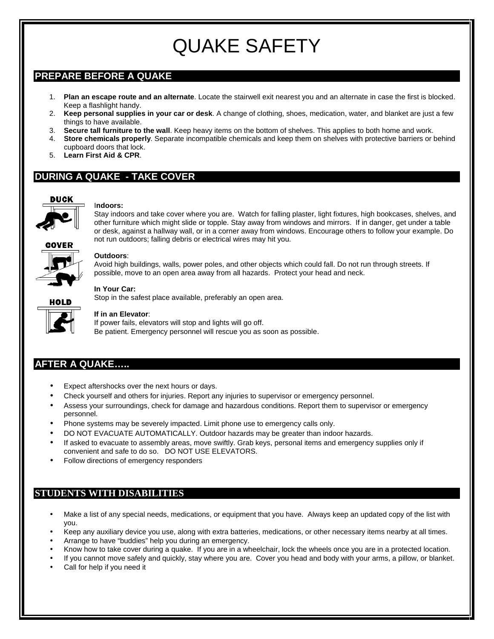## QUAKE SAFETY

### **PREPARE BEFORE A QUAKE**

- 1. **Plan an escape route and an alternate**. Locate the stairwell exit nearest you and an alternate in case the first is blocked. Keep a flashlight handy.
- 2. **Keep personal supplies in your car or desk**. A change of clothing, shoes, medication, water, and blanket are just a few things to have available.
- 3. **Secure tall furniture to the wall**. Keep heavy items on the bottom of shelves. This applies to both home and work.
- 4. **Store chemicals properly**. Separate incompatible chemicals and keep them on shelves with protective barriers or behind cupboard doors that lock.
- 5. **Learn First Aid & CPR**.

### **DURING A QUAKE - TAKE COVER**



#### I**ndoors:**



Stay indoors and take cover where you are. Watch for falling plaster, light fixtures, high bookcases, shelves, and other furniture which might slide or topple. Stay away from windows and mirrors. If in danger, get under a table or desk, against a hallway wall, or in a corner away from windows. Encourage others to follow your example. Do not run outdoors; falling debris or electrical wires may hit you.



#### **Outdoors**:

Avoid high buildings, walls, power poles, and other objects which could fall. Do not run through streets. If possible, move to an open area away from all hazards. Protect your head and neck.

#### **In Your Car:**

Stop in the safest place available, preferably an open area.



#### **If in an Elevator**:

If power fails, elevators will stop and lights will go off. Be patient. Emergency personnel will rescue you as soon as possible.

### **AFTER A QUAKE…..**

- Expect aftershocks over the next hours or days.
- Check yourself and others for injuries. Report any injuries to supervisor or emergency personnel.
- Assess your surroundings, check for damage and hazardous conditions. Report them to supervisor or emergency personnel.
- Phone systems may be severely impacted. Limit phone use to emergency calls only.
- DO NOT EVACUATE AUTOMATICALLY. Outdoor hazards may be greater than indoor hazards.
- If asked to evacuate to assembly areas, move swiftly. Grab keys, personal items and emergency supplies only if convenient and safe to do so. DO NOT USE ELEVATORS.
- Follow directions of emergency responders

### **STUDENTS WITH DISABILITIES**

- Make a list of any special needs, medications, or equipment that you have. Always keep an updated copy of the list with you.
- Keep any auxiliary device you use, along with extra batteries, medications, or other necessary items nearby at all times.
- Arrange to have "buddies" help you during an emergency.
- Know how to take cover during a quake. If you are in a wheelchair, lock the wheels once you are in a protected location.
- If you cannot move safely and quickly, stay where you are. Cover you head and body with your arms, a pillow, or blanket.
- Call for help if you need it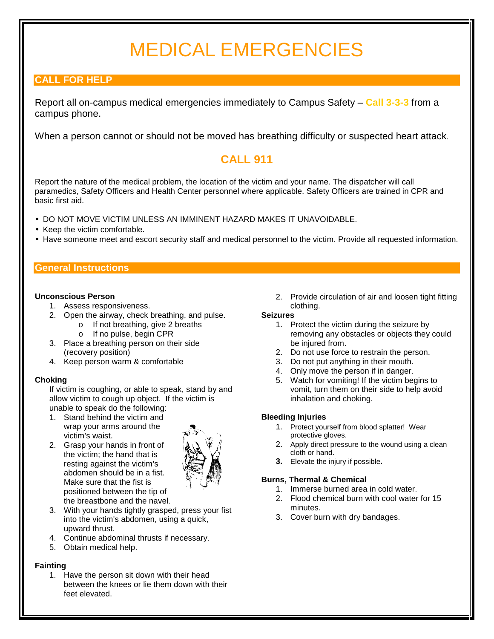## MEDICAL EMERGENCIES

### **CALL FOR HELP**

Report all on-campus medical emergencies immediately to Campus Safety – **Call 3-3-3** from a campus phone.

When a person cannot or should not be moved has breathing difficulty or suspected heart attack.

### **CALL 911**

Report the nature of the medical problem, the location of the victim and your name. The dispatcher will call paramedics, Safety Officers and Health Center personnel where applicable. Safety Officers are trained in CPR and basic first aid.

- DO NOT MOVE VICTIM UNLESS AN IMMINENT HAZARD MAKES IT UNAVOIDABLE.
- Keep the victim comfortable.
- Have someone meet and escort security staff and medical personnel to the victim. Provide all requested information.

#### **General Instructions**

#### **Unconscious Person**

- 1. Assess responsiveness.
- 2. Open the airway, check breathing, and pulse.
	- o If not breathing, give 2 breaths
	- o If no pulse, begin CPR
- 3. Place a breathing person on their side (recovery position)
- 4. Keep person warm & comfortable

#### **Choking**

If victim is coughing, or able to speak, stand by and allow victim to cough up object. If the victim is unable to speak do the following:

- 1. Stand behind the victim and wrap your arms around the victim's waist.
- 2. Grasp your hands in front of the victim; the hand that is resting against the victim's abdomen should be in a fist. Make sure that the fist is positioned between the tip of the breastbone and the navel.



- 3. With your hands tightly grasped, press your fist into the victim's abdomen, using a quick, upward thrust.
- 4. Continue abdominal thrusts if necessary.
- 5. Obtain medical help.

#### **Fainting**

1. Have the person sit down with their head between the knees or lie them down with their feet elevated.

2. Provide circulation of air and loosen tight fitting clothing.

#### **Seizures**

- 1. Protect the victim during the seizure by removing any obstacles or objects they could be injured from.
- 2. Do not use force to restrain the person.
- 3. Do not put anything in their mouth.
- 4. Only move the person if in danger.
- 5. Watch for vomiting! If the victim begins to vomit, turn them on their side to help avoid inhalation and choking.

#### **Bleeding Injuries**

- 1. Protect yourself from blood splatter! Wear protective gloves.
- 2. Apply direct pressure to the wound using a clean cloth or hand.
- **3.** Elevate the injury if possible**.**

#### **Burns, Thermal & Chemical**

- 1. Immerse burned area in cold water.
- 2. Flood chemical burn with cool water for 15 minutes.
- 3. Cover burn with dry bandages.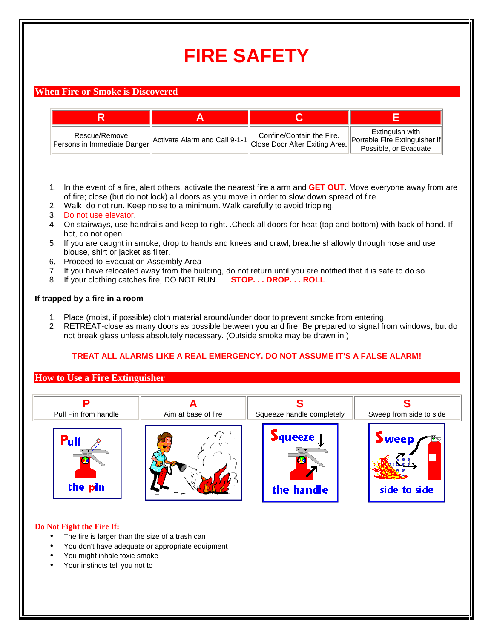## **FIRE SAFETY**

#### **When Fire or Smoke is Discovered**

| Rescue/Remove<br>Persons in Immediate Danger | Confine/Contain the Fire.<br>Lettivate Alarm and Call 9-1-1 Close Door After Exiting Area. <sup>[11]</sup> | Extinguish with<br>Portable Fire Extinguisher if<br>Possible, or Evacuate |
|----------------------------------------------|------------------------------------------------------------------------------------------------------------|---------------------------------------------------------------------------|

- 1. In the event of a fire, alert others, activate the nearest fire alarm and **GET OUT**. Move everyone away from are of fire; close (but do not lock) all doors as you move in order to slow down spread of fire.
- 2. Walk, do not run. Keep noise to a minimum. Walk carefully to avoid tripping.
- 3. Do not use elevator.
- 4. On stairways, use handrails and keep to right. .Check all doors for heat (top and bottom) with back of hand. If hot, do not open.
- 5. If you are caught in smoke, drop to hands and knees and crawl; breathe shallowly through nose and use blouse, shirt or jacket as filter.
- 6. Proceed to Evacuation Assembly Area
- 7. If you have relocated away from the building, do not return until you are notified that it is safe to do so.
- 8. If your clothing catches fire, DO NOT RUN. **STOP. . . DROP. . . ROLL**.

#### **If trapped by a fire in a room**

- 1. Place (moist, if possible) cloth material around/under door to prevent smoke from entering.
- 2. RETREAT-close as many doors as possible between you and fire. Be prepared to signal from windows, but do not break glass unless absolutely necessary. (Outside smoke may be drawn in.)

#### **TREAT ALL ALARMS LIKE A REAL EMERGENCY. DO NOT ASSUME IT'S A FALSE ALARM!**

#### **How to Use a Fire Extinguisher**



#### **Do Not Fight the Fire If:**

- The fire is larger than the size of a trash can
- You don't have adequate or appropriate equipment
- You might inhale toxic smoke
- Your instincts tell you not to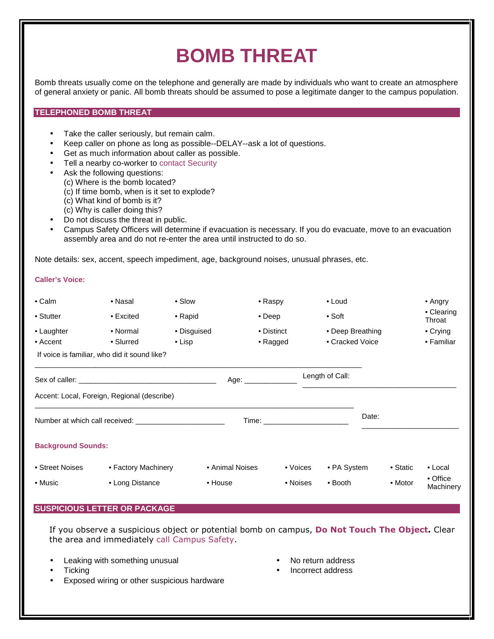### **BOMB THREAT**

Bomb threats usually come on the telephone and generally are made by individuals who want to create an atmosphere of general anxiety or panic. All bomb threats should be assumed to pose a legitimate danger to the campus population.

#### **TELEPHONED BOMB THREAT**

- Take the caller seriously, but remain calm.
- Keep caller on phone as long as possible--DELAY--ask a lot of questions.
- Get as much information about caller as possible.
- Tell a nearby co-worker to contact Security
- Ask the following questions:
	- (c) Where is the bomb located?
	- (c) If time bomb, when is it set to explode?
	- (c) What kind of bomb is it?
	- (c) Why is caller doing this?
- Do not discuss the threat in public.
- Campus Safety Officers will determine if evacuation is necessary. If you do evacuate, move to an evacuation assembly area and do not re-enter the area until instructed to do so.

Note details: sex, accent, speech impediment, age, background noises, unusual phrases, etc.

#### **Caller's Voice:**

| $\bullet$ Calm<br>• Stutter<br>• Laughter                        | • Nasal<br>$\bullet$ Excited<br>• Normal | • Slow<br>• Rapid<br>• Disguised | • Raspy<br>$\bullet$ Deep<br>• Distinct                                                                                                                                                                                        |          | $\bullet$ Loud<br>$\bullet$ Soft<br>• Deep Breathing |       |          | $\bullet$ Angry<br>• Clearing<br>Throat<br>• Crying |
|------------------------------------------------------------------|------------------------------------------|----------------------------------|--------------------------------------------------------------------------------------------------------------------------------------------------------------------------------------------------------------------------------|----------|------------------------------------------------------|-------|----------|-----------------------------------------------------|
| $\bullet$ Accent<br>If voice is familiar, who did it sound like? | • Slurred                                | $\bullet$ Lisp                   | • Ragged                                                                                                                                                                                                                       |          | • Cracked Voice                                      |       |          | • Familiar                                          |
|                                                                  |                                          |                                  | Age: __________                                                                                                                                                                                                                |          | Length of Call:                                      |       |          |                                                     |
| Accent: Local, Foreign, Regional (describe)                      |                                          |                                  |                                                                                                                                                                                                                                |          |                                                      |       |          |                                                     |
| Number at which call received: Number at which call received:    |                                          |                                  | Time: with a state of the contract of the contract of the contract of the contract of the contract of the contract of the contract of the contract of the contract of the contract of the contract of the contract of the cont |          |                                                      | Date: |          |                                                     |
| <b>Background Sounds:</b>                                        |                                          |                                  |                                                                                                                                                                                                                                |          |                                                      |       |          |                                                     |
| • Street Noises                                                  | • Factory Machinery                      |                                  | • Animal Noises                                                                                                                                                                                                                | • Voices | • PA System                                          |       | • Static | $\bullet$ Local                                     |
| • Music                                                          | • Long Distance                          | • House                          |                                                                                                                                                                                                                                | • Noises | $\bullet$ Booth                                      |       | • Motor  | • Office<br>Machinery                               |

#### **SUSPICIOUS LETTER OR PACKAGE**

If you observe a suspicious object or potential bomb on campus, Do Not Touch The Object. Clear the area and immediately call Campus Safety.

- Leaking with something unusual
- Ticking
- Exposed wiring or other suspicious hardware
- No return address
- Incorrect address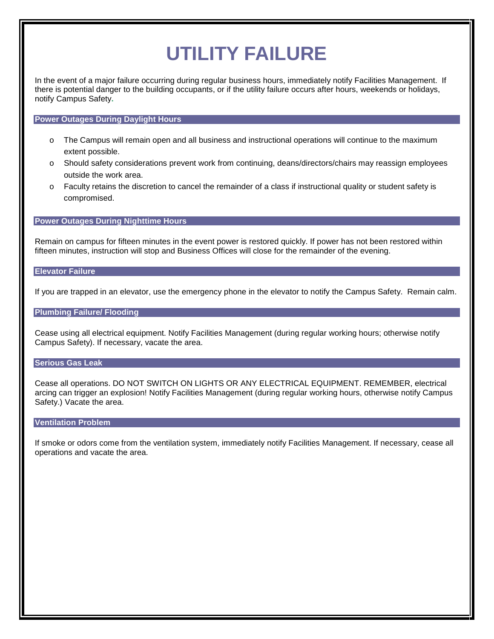## **UTILITY FAILURE**

In the event of a major failure occurring during regular business hours, immediately notify Facilities Management. If there is potential danger to the building occupants, or if the utility failure occurs after hours, weekends or holidays, notify Campus Safety**.** 

#### **Power Outages During Daylight Hours**

- o The Campus will remain open and all business and instructional operations will continue to the maximum extent possible.
- o Should safety considerations prevent work from continuing, deans/directors/chairs may reassign employees outside the work area.
- o Faculty retains the discretion to cancel the remainder of a class if instructional quality or student safety is compromised.

#### **Power Outages During Nighttime Hours**

Remain on campus for fifteen minutes in the event power is restored quickly. If power has not been restored within fifteen minutes, instruction will stop and Business Offices will close for the remainder of the evening.

#### **Elevator Failure**

If you are trapped in an elevator, use the emergency phone in the elevator to notify the Campus Safety. Remain calm.

#### **Plumbing Failure/ Flooding**

Cease using all electrical equipment. Notify Facilities Management (during regular working hours; otherwise notify Campus Safety). If necessary, vacate the area.

#### **Serious Gas Leak**

Cease all operations. DO NOT SWITCH ON LIGHTS OR ANY ELECTRICAL EQUIPMENT. REMEMBER, electrical arcing can trigger an explosion! Notify Facilities Management (during regular working hours, otherwise notify Campus Safety.) Vacate the area.

#### **Ventilation Problem**

If smoke or odors come from the ventilation system, immediately notify Facilities Management. If necessary, cease all operations and vacate the area.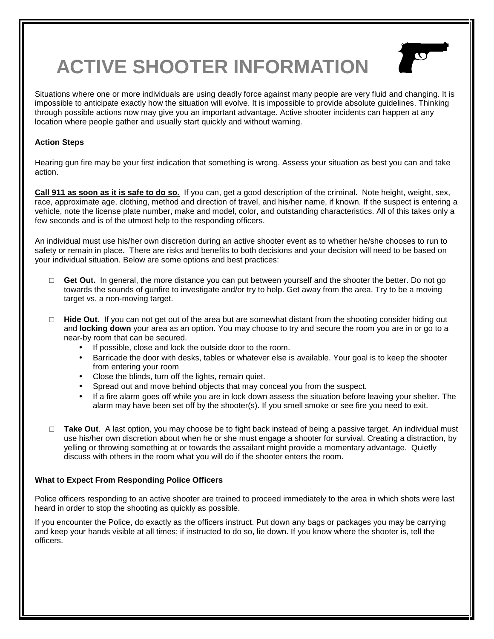## **ACTIVE SHOOTER INFORMATION**



Situations where one or more individuals are using deadly force against many people are very fluid and changing. It is impossible to anticipate exactly how the situation will evolve. It is impossible to provide absolute guidelines. Thinking through possible actions now may give you an important advantage. Active shooter incidents can happen at any location where people gather and usually start quickly and without warning.

#### **Action Steps**

Hearing gun fire may be your first indication that something is wrong. Assess your situation as best you can and take action.

**Call 911 as soon as it is safe to do so.** If you can, get a good description of the criminal. Note height, weight, sex, race, approximate age, clothing, method and direction of travel, and his/her name, if known. If the suspect is entering a vehicle, note the license plate number, make and model, color, and outstanding characteristics. All of this takes only a few seconds and is of the utmost help to the responding officers.

An individual must use his/her own discretion during an active shooter event as to whether he/she chooses to run to safety or remain in place. There are risks and benefits to both decisions and your decision will need to be based on your individual situation. Below are some options and best practices:

- □ **Get Out.** In general, the more distance you can put between yourself and the shooter the better. Do not go towards the sounds of gunfire to investigate and/or try to help. Get away from the area. Try to be a moving target vs. a non-moving target.
- □ **Hide Out**. If you can not get out of the area but are somewhat distant from the shooting consider hiding out and **locking down** your area as an option. You may choose to try and secure the room you are in or go to a near-by room that can be secured.
	- If possible, close and lock the outside door to the room.
	- Barricade the door with desks, tables or whatever else is available. Your goal is to keep the shooter from entering your room
	- Close the blinds, turn off the lights, remain quiet.
	- Spread out and move behind objects that may conceal you from the suspect.
	- If a fire alarm goes off while you are in lock down assess the situation before leaving your shelter. The alarm may have been set off by the shooter(s). If you smell smoke or see fire you need to exit.
- □ **Take Out**. A last option, you may choose be to fight back instead of being a passive target. An individual must use his/her own discretion about when he or she must engage a shooter for survival. Creating a distraction, by yelling or throwing something at or towards the assailant might provide a momentary advantage. Quietly discuss with others in the room what you will do if the shooter enters the room.

#### **What to Expect From Responding Police Officers**

Police officers responding to an active shooter are trained to proceed immediately to the area in which shots were last heard in order to stop the shooting as quickly as possible.

If you encounter the Police, do exactly as the officers instruct. Put down any bags or packages you may be carrying and keep your hands visible at all times; if instructed to do so, lie down. If you know where the shooter is, tell the officers.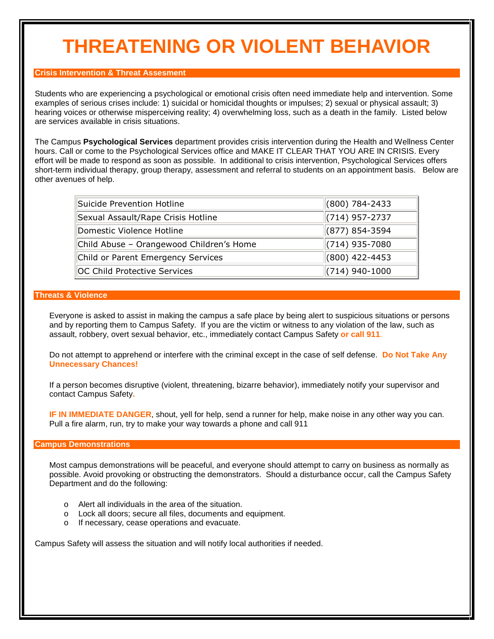### **THREATENING OR VIOLENT BEHAVIOR**

#### **Crisis Intervention & Threat Assesment**

Students who are experiencing a psychological or emotional crisis often need immediate help and intervention. Some examples of serious crises include: 1) suicidal or homicidal thoughts or impulses; 2) sexual or physical assault; 3) hearing voices or otherwise misperceiving reality; 4) overwhelming loss, such as a death in the family. Listed below are services available in crisis situations.

The Campus **Psychological Services** department provides crisis intervention during the Health and Wellness Center hours. Call or come to the Psychological Services office and MAKE IT CLEAR THAT YOU ARE IN CRISIS. Every effort will be made to respond as soon as possible. In additional to crisis intervention, Psychological Services offers short-term individual therapy, group therapy, assessment and referral to students on an appointment basis. Below are other avenues of help.

| Suicide Prevention Hotline               | $\parallel$ (800) 784-2433 |
|------------------------------------------|----------------------------|
| Sexual Assault/Rape Crisis Hotline       | $\parallel$ (714) 957-2737 |
| Domestic Violence Hotline                | $\parallel$ (877) 854-3594 |
| Child Abuse - Orangewood Children's Home | $\parallel$ (714) 935-7080 |
| Child or Parent Emergency Services       | $(800)$ 422-4453           |
| OC Child Protective Services             | $(714)$ 940-1000           |

#### **Threats & Violence**

Everyone is asked to assist in making the campus a safe place by being alert to suspicious situations or persons and by reporting them to Campus Safety. If you are the victim or witness to any violation of the law, such as assault, robbery, overt sexual behavior, etc., immediately contact Campus Safety **or call 911**.

Do not attempt to apprehend or interfere with the criminal except in the case of self defense. **Do Not Take Any Unnecessary Chances!** 

If a person becomes disruptive (violent, threatening, bizarre behavior), immediately notify your supervisor and contact Campus Safety**.**

**IF IN IMMEDIATE DANGER**, shout, yell for help, send a runner for help, make noise in any other way you can. Pull a fire alarm, run, try to make your way towards a phone and call 911

#### **Campus Demonstrations**

Most campus demonstrations will be peaceful, and everyone should attempt to carry on business as normally as possible. Avoid provoking or obstructing the demonstrators. Should a disturbance occur, call the Campus Safety Department and do the following:

- o Alert all individuals in the area of the situation.
- o Lock all doors; secure all files, documents and equipment.
- o If necessary, cease operations and evacuate.

Campus Safety will assess the situation and will notify local authorities if needed.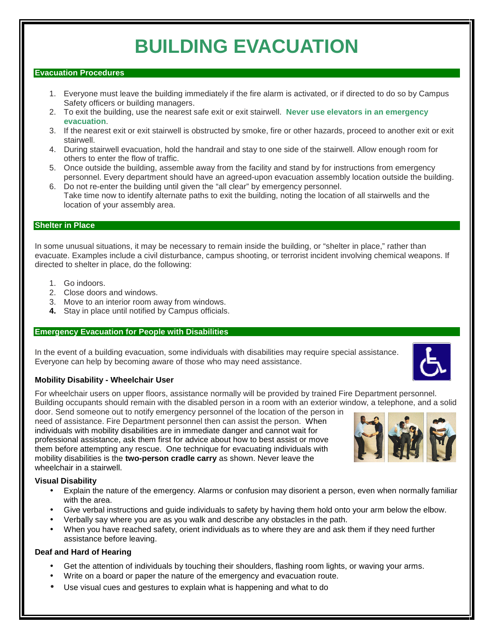### **BUILDING EVACUATION**

#### **Evacuation Procedures**

- 1. Everyone must leave the building immediately if the fire alarm is activated, or if directed to do so by Campus Safety officers or building managers.
- 2. To exit the building, use the nearest safe exit or exit stairwell. **Never use elevators in an emergency evacuation**.
- 3. If the nearest exit or exit stairwell is obstructed by smoke, fire or other hazards, proceed to another exit or exit stairwell.
- 4. During stairwell evacuation, hold the handrail and stay to one side of the stairwell. Allow enough room for others to enter the flow of traffic.
- 5. Once outside the building, assemble away from the facility and stand by for instructions from emergency personnel. Every department should have an agreed-upon evacuation assembly location outside the building.
- 6. Do not re-enter the building until given the "all clear" by emergency personnel. **7.** Take time now to identify alternate paths to exit the building, noting the location of all stairwells and the location of your assembly area.

#### **Shelter in Place**

In some unusual situations, it may be necessary to remain inside the building, or "shelter in place," rather than evacuate. Examples include a civil disturbance, campus shooting, or terrorist incident involving chemical weapons. If directed to shelter in place, do the following:

- 1. Go indoors.
- 2. Close doors and windows.
- 3. Move to an interior room away from windows.
- **4.** Stay in place until notified by Campus officials.

#### **Emergency Evacuation for People with Disabilities**

In the event of a building evacuation, some individuals with disabilities may require special assistance. Everyone can help by becoming aware of those who may need assistance.

#### **Mobility Disability - Wheelchair User**

For wheelchair users on upper floors, assistance normally will be provided by trained Fire Department personnel. Building occupants should remain with the disabled person in a room with an exterior window, a telephone, and a solid

door. Send someone out to notify emergency personnel of the location of the person in need of assistance. Fire Department personnel then can assist the person. When individuals with mobility disabilities are in immediate danger and cannot wait for professional assistance, ask them first for advice about how to best assist or move them before attempting any rescue. One technique for evacuating individuals with mobility disabilities is the **two-person cradle carry** as shown. Never leave the wheelchair in a stairwell.

#### **Visual Disability**

- Explain the nature of the emergency. Alarms or confusion may disorient a person, even when normally familiar with the area.
- Give verbal instructions and guide individuals to safety by having them hold onto your arm below the elbow.
- Verbally say where you are as you walk and describe any obstacles in the path.
- When you have reached safety, orient individuals as to where they are and ask them if they need further assistance before leaving.

#### **Deaf and Hard of Hearing**

- Get the attention of individuals by touching their shoulders, flashing room lights, or waving your arms.
- Write on a board or paper the nature of the emergency and evacuation route.
- Use visual cues and gestures to explain what is happening and what to do